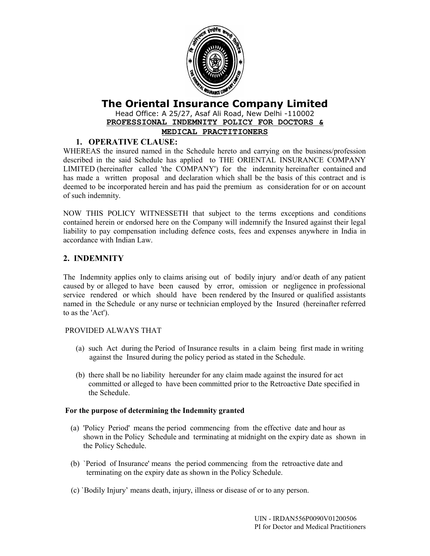

# **The Oriental Insurance Company Limited**

Head Office: A 25/27, Asaf Ali Road, New Delhi -110002 **PROFESSIONAL INDEMNITY POLICY FOR DOCTORS &**

# **MEDICAL PRACTITIONERS**

# **1. OPERATIVE CLAUSE:**

WHEREAS the insured named in the Schedule hereto and carrying on the business/profession described in the said Schedule has applied to THE ORIENTAL INSURANCE COMPANY LIMITED (hereinafter called 'the COMPANY') for the indemnity hereinafter contained and has made a written proposal and declaration which shall be the basis of this contract and is deemed to be incorporated herein and has paid the premium as consideration for or on account of such indemnity.

NOW THIS POLICY WITNESSETH that subject to the terms exceptions and conditions contained herein or endorsed here on the Company will indemnify the Insured against their legal liability to pay compensation including defence costs, fees and expenses anywhere in India in accordance with Indian Law.

# **2. INDEMNITY**

The Indemnity applies only to claims arising out of bodily injury and/or death of any patient caused by or alleged to have been caused by error, omission or negligence in professional service rendered or which should have been rendered by the Insured or qualified assistants named in the Schedule or any nurse or technician employed by the Insured (hereinafter referred to as the 'Act').

## PROVIDED ALWAYS THAT

- (a) such Act during the Period of Insurance results in a claim being first made in writing against the Insured during the policy period as stated in the Schedule.
- (b) there shall be no liability hereunder for any claim made against the insured for act committed or alleged to have been committed prior to the Retroactive Date specified in the Schedule.

## **For the purpose of determining the Indemnity granted**

- (a) 'Policy Period' means the period commencing from the effective date and hour as shown in the Policy Schedule and terminating at midnight on the expiry date as shown in the Policy Schedule.
- (b) `Period of Insurance' means the period commencing from the retroactive date and terminating on the expiry date as shown in the Policy Schedule.
- (c) `Bodily Injury' means death, injury, illness or disease of or to any person.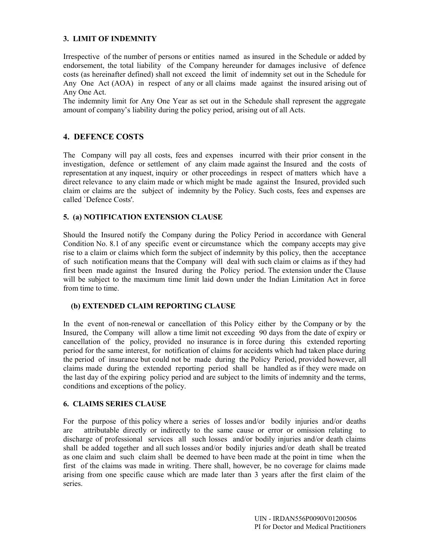### **3. LIMIT OF INDEMNITY**

Irrespective of the number of persons or entities named as insured in the Schedule or added by endorsement, the total liability of the Company hereunder for damages inclusive of defence costs (as hereinafter defined) shall not exceed the limit of indemnity set out in the Schedule for Any One Act (AOA) in respect of any or all claims made against the insured arising out of Any One Act.

The indemnity limit for Any One Year as set out in the Schedule shall represent the aggregate amount of company's liability during the policy period, arising out of all Acts.

## **4. DEFENCE COSTS**

The Company will pay all costs, fees and expenses incurred with their prior consent in the investigation, defence or settlement of any claim made against the Insured and the costs of representation at any inquest, inquiry or other proceedings in respect of matters which have a direct relevance to any claim made or which might be made against the Insured, provided such claim or claims are the subject of indemnity by the Policy. Such costs, fees and expenses are called `Defence Costs'.

### **5. (a) NOTIFICATION EXTENSION CLAUSE**

Should the Insured notify the Company during the Policy Period in accordance with General Condition No. 8.1 of any specific event or circumstance which the company accepts may give rise to a claim or claims which form the subject of indemnity by this policy, then the acceptance of such notification means that the Company will deal with such claim or claims as if they had first been made against the Insured during the Policy period. The extension under the Clause will be subject to the maximum time limit laid down under the Indian Limitation Act in force from time to time.

#### **(b) EXTENDED CLAIM REPORTING CLAUSE**

In the event of non-renewal or cancellation of this Policy either by the Company or by the Insured, the Company will allow a time limit not exceeding 90 days from the date of expiry or cancellation of the policy, provided no insurance is in force during this extended reporting period for the same interest, for notification of claims for accidents which had taken place during the period of insurance but could not be made during the Policy Period, provided however, all claims made during the extended reporting period shall be handled as if they were made on the last day of the expiring policy period and are subject to the limits of indemnity and the terms, conditions and exceptions of the policy.

### **6. CLAIMS SERIES CLAUSE**

For the purpose of this policy where a series of losses and/or bodily injuries and/or deaths are attributable directly or indirectly to the same cause or error or omission relating to discharge of professional services all such losses and/or bodily injuries and/or death claims shall be added together and all such losses and/or bodily injuries and/or death shall be treated as one claim and such claim shall be deemed to have been made at the point in time when the first of the claims was made in writing. There shall, however, be no coverage for claims made arising from one specific cause which are made later than 3 years after the first claim of the series.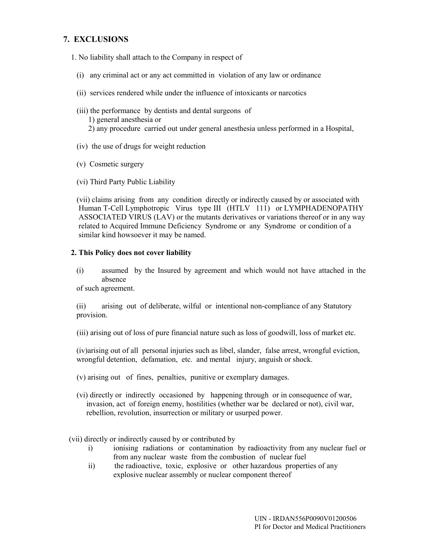# **7. EXCLUSIONS**

1. No liability shall attach to the Company in respect of

- (i) any criminal act or any act committed in violation of any law or ordinance
- (ii) services rendered while under the influence of intoxicants or narcotics
- (iii) the performance by dentists and dental surgeons of 1) general anesthesia or 2) any procedure carried out under general anesthesia unless performed in a Hospital,
- (iv) the use of drugs for weight reduction
- (v) Cosmetic surgery
- (vi) Third Party Public Liability

 (vii) claims arising from any condition directly or indirectly caused by or associated with Human T-Cell Lymphotropic Virus type III (HTLV 111) or LYMPHADENOPATHY ASSOCIATED VIRUS (LAV) or the mutants derivatives or variations thereof or in any way related to Acquired Immune Deficiency Syndrome or any Syndrome or condition of a similar kind howsoever it may be named.

#### **2. This Policy does not cover liability**

(i) assumed by the Insured by agreement and which would not have attached in the absence

of such agreement.

(ii) arising out of deliberate, wilful or intentional non-compliance of any Statutory provision.

(iii) arising out of loss of pure financial nature such as loss of goodwill, loss of market etc.

(iv)arising out of all personal injuries such as libel, slander, false arrest, wrongful eviction, wrongful detention, defamation, etc. and mental injury, anguish or shock.

- (v) arising out of fines, penalties, punitive or exemplary damages.
- (vi) directly or indirectly occasioned by happening through or in consequence of war, invasion, act of foreign enemy, hostilities (whether war be declared or not), civil war, rebellion, revolution, insurrection or military or usurped power.

(vii) directly or indirectly caused by or contributed by

- i) ionising radiations or contamination by radioactivity from any nuclear fuel or from any nuclear waste from the combustion of nuclear fuel
- ii) the radioactive, toxic, explosive or other hazardous properties of any explosive nuclear assembly or nuclear component thereof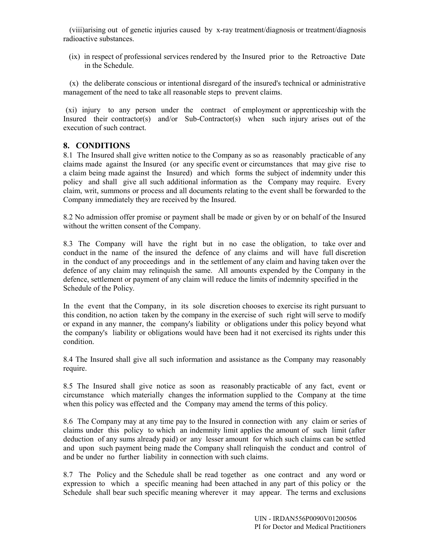(viii)arising out of genetic injuries caused by x-ray treatment/diagnosis or treatment/diagnosis radioactive substances.

 (ix) in respect of professional services rendered by the Insured prior to the Retroactive Date in the Schedule.

 (x) the deliberate conscious or intentional disregard of the insured's technical or administrative management of the need to take all reasonable steps to prevent claims.

 (xi) injury to any person under the contract of employment or apprenticeship with the Insured their contractor(s) and/or Sub-Contractor(s) when such injury arises out of the execution of such contract.

## **8. CONDITIONS**

8.1 The Insured shall give written notice to the Company as so as reasonably practicable of any claims made against the Insured (or any specific event or circumstances that may give rise to a claim being made against the Insured) and which forms the subject of indemnity under this policy and shall give all such additional information as the Company may require. Every claim, writ, summons or process and all documents relating to the event shall be forwarded to the Company immediately they are received by the Insured.

8.2 No admission offer promise or payment shall be made or given by or on behalf of the Insured without the written consent of the Company.

8.3 The Company will have the right but in no case the obligation, to take over and conduct in the name of the insured the defence of any claims and will have full discretion in the conduct of any proceedings and in the settlement of any claim and having taken over the defence of any claim may relinquish the same. All amounts expended by the Company in the defence, settlement or payment of any claim will reduce the limits of indemnity specified in the Schedule of the Policy.

In the event that the Company, in its sole discretion chooses to exercise its right pursuant to this condition, no action taken by the company in the exercise of such right will serve to modify or expand in any manner, the company's liability or obligations under this policy beyond what the company's liability or obligations would have been had it not exercised its rights under this condition.

8.4 The Insured shall give all such information and assistance as the Company may reasonably require.

8.5 The Insured shall give notice as soon as reasonably practicable of any fact, event or circumstance which materially changes the information supplied to the Company at the time when this policy was effected and the Company may amend the terms of this policy.

8.6 The Company may at any time pay to the Insured in connection with any claim or series of claims under this policy to which an indemnity limit applies the amount of such limit (after deduction of any sums already paid) or any lesser amount for which such claims can be settled and upon such payment being made the Company shall relinquish the conduct and control of and be under no further liability in connection with such claims.

8.7 The Policy and the Schedule shall be read together as one contract and any word or expression to which a specific meaning had been attached in any part of this policy or the Schedule shall bear such specific meaning wherever it may appear. The terms and exclusions